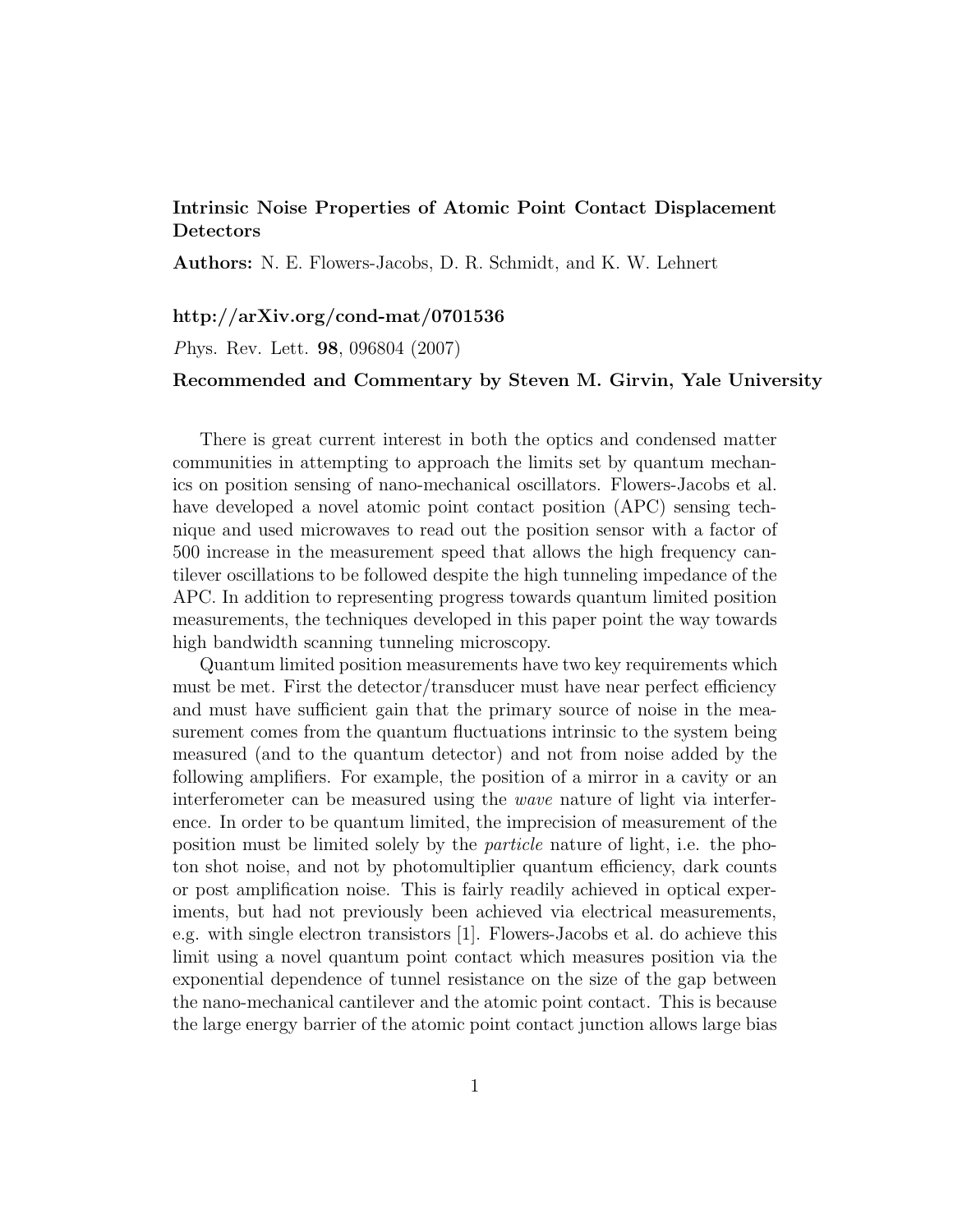## Intrinsic Noise Properties of Atomic Point Contact Displacement Detectors

Authors: N. E. Flowers-Jacobs, D. R. Schmidt, and K. W. Lehnert

## http://arXiv.org/cond-mat/0701536

Phys. Rev. Lett. 98, 096804 (2007)

## Recommended and Commentary by Steven M. Girvin, Yale University

There is great current interest in both the optics and condensed matter communities in attempting to approach the limits set by quantum mechanics on position sensing of nano-mechanical oscillators. Flowers-Jacobs et al. have developed a novel atomic point contact position (APC) sensing technique and used microwaves to read out the position sensor with a factor of 500 increase in the measurement speed that allows the high frequency cantilever oscillations to be followed despite the high tunneling impedance of the APC. In addition to representing progress towards quantum limited position measurements, the techniques developed in this paper point the way towards high bandwidth scanning tunneling microscopy.

Quantum limited position measurements have two key requirements which must be met. First the detector/transducer must have near perfect efficiency and must have sufficient gain that the primary source of noise in the measurement comes from the quantum fluctuations intrinsic to the system being measured (and to the quantum detector) and not from noise added by the following amplifiers. For example, the position of a mirror in a cavity or an interferometer can be measured using the wave nature of light via interference. In order to be quantum limited, the imprecision of measurement of the position must be limited solely by the particle nature of light, i.e. the photon shot noise, and not by photomultiplier quantum efficiency, dark counts or post amplification noise. This is fairly readily achieved in optical experiments, but had not previously been achieved via electrical measurements, e.g. with single electron transistors [1]. Flowers-Jacobs et al. do achieve this limit using a novel quantum point contact which measures position via the exponential dependence of tunnel resistance on the size of the gap between the nano-mechanical cantilever and the atomic point contact. This is because the large energy barrier of the atomic point contact junction allows large bias